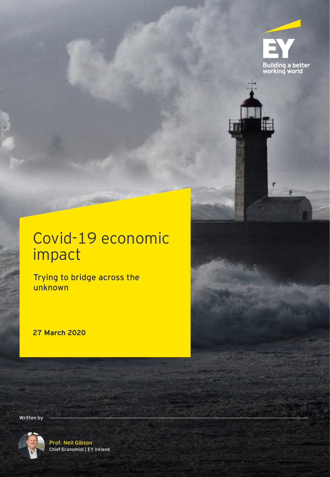

# Covid-19 economic impact

Trying to bridge across the unknown

**27 March 2020**

Written by



Prof. Neil Gibson Chief Economist | EY Ireland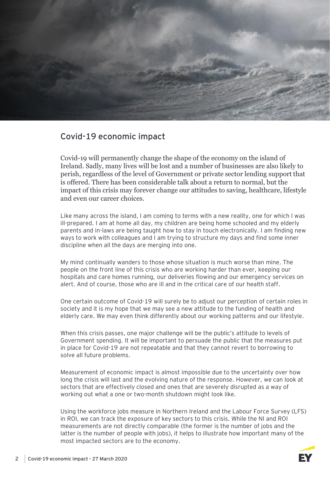

## Covid-19 economic impact

Covid-19 will permanently change the shape of the economy on the island of Ireland. Sadly, many lives will be lost and a number of businesses are also likely to perish, regardless of the level of Government or private sector lending support that is offered. There has been considerable talk about a return to normal, but the impact of this crisis may forever change our attitudes to saving, healthcare, lifestyle and even our career choices.

Like many across the island, I am coming to terms with a new reality, one for which I was ill-prepared. I am at home all day, my children are being home schooled and my elderly parents and in-laws are being taught how to stay in touch electronically. I am finding new ways to work with colleagues and I am trying to structure my days and find some inner discipline when all the days are merging into one.

My mind continually wanders to those whose situation is much worse than mine. The people on the front line of this crisis who are working harder than ever, keeping our hospitals and care homes running, our deliveries flowing and our emergency services on alert. And of course, those who are ill and in the critical care of our health staff.

One certain outcome of Covid-19 will surely be to adjust our perception of certain roles in society and it is my hope that we may see a new attitude to the funding of health and elderly care. We may even think differently about our working patterns and our lifestyle.

When this crisis passes, one major challenge will be the public's attitude to levels of Government spending. It will be important to persuade the public that the measures put in place for Covid-19 are not repeatable and that they cannot revert to borrowing to solve all future problems.

Measurement of economic impact is almost impossible due to the uncertainty over how long the crisis will last and the evolving nature of the response. However, we can look at sectors that are effectively closed and ones that are severely disrupted as a way of working out what a one or two-month shutdown might look like.

Using the workforce jobs measure in Northern Ireland and the Labour Force Survey (LFS) in ROI, we can track the exposure of key sectors to this crisis. While the NI and ROI measurements are not directly comparable (the former is the number of jobs and the latter is the number of people with jobs), it helps to illustrate how important many of the most impacted sectors are to the economy.

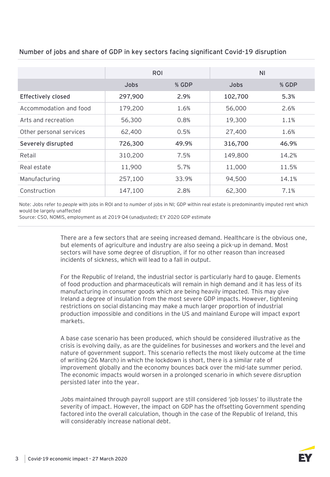|                           | ROI         |       | <b>NI</b>   |       |
|---------------------------|-------------|-------|-------------|-------|
|                           | <b>Jobs</b> | % GDP | <b>Jobs</b> | % GDP |
| <b>Effectively closed</b> | 297,900     | 2.9%  | 102,700     | 5.3%  |
| Accommodation and food    | 179,200     | 1.6%  | 56,000      | 2.6%  |
| Arts and recreation       | 56,300      | 0.8%  | 19,300      | 1.1%  |
| Other personal services   | 62,400      | 0.5%  | 27,400      | 1.6%  |
| Severely disrupted        | 726,300     | 49.9% | 316,700     | 46.9% |
| Retail                    | 310,200     | 7.5%  | 149,800     | 14.2% |
| Real estate               | 11,900      | 5.7%  | 11,000      | 11.5% |
| Manufacturing             | 257,100     | 33.9% | 94,500      | 14.1% |
| Construction              | 147,100     | 2.8%  | 62,300      | 7.1%  |

Number of jobs and share of GDP in key sectors facing significant Covid-19 disruption

Note: Jobs refer to *people* with jobs in ROI and to *number* of jobs in NI; GDP within real estate is predominantly imputed rent which would be largely unaffected

Source: CSO, NOMIS, employment as at 2019 Q4 (unadjusted); EY 2020 GDP estimate

There are a few sectors that are seeing increased demand. Healthcare is the obvious one, but elements of agriculture and industry are also seeing a pick-up in demand. Most sectors will have some degree of disruption, if for no other reason than increased incidents of sickness, which will lead to a fall in output.

For the Republic of Ireland, the industrial sector is particularly hard to gauge. Elements of food production and pharmaceuticals will remain in high demand and it has less of its manufacturing in consumer goods which are being heavily impacted. This may give Ireland a degree of insulation from the most severe GDP impacts. However, tightening restrictions on social distancing may make a much larger proportion of industrial production impossible and conditions in the US and mainland Europe will impact export markets.

A base case scenario has been produced, which should be considered illustrative as the crisis is evolving daily, as are the guidelines for businesses and workers and the level and nature of government support. This scenario reflects the most likely outcome at the time of writing (26 March) in which the lockdown is short, there is a similar rate of improvement globally and the economy bounces back over the mid-late summer period. The economic impacts would worsen in a prolonged scenario in which severe disruption persisted later into the year.

Jobs maintained through payroll support are still considered 'job losses' to illustrate the severity of impact. However, the impact on GDP has the offsetting Government spending factored into the overall calculation, though in the case of the Republic of Ireland, this will considerably increase national debt.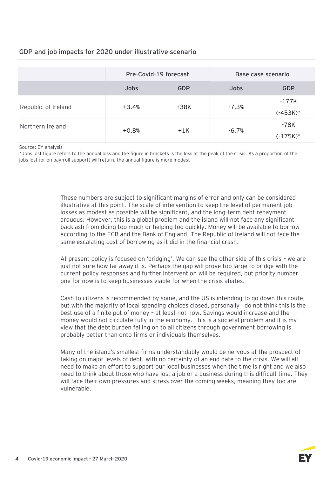### GDP and job impacts for 2020 under illustrative scenario

|                     | Pre-Covid-19 forecast |            | Base case scenario |                      |
|---------------------|-----------------------|------------|--------------------|----------------------|
|                     | <b>Jobs</b>           | <b>GDP</b> | <b>Jobs</b>        | <b>GDP</b>           |
| Republic of Ireland | +3.4%                 | $+38K$     | $-7.3\%$           | -177K<br>$(-453K)^*$ |
| Northern Ireland    | $+0.8%$               | $+1K$      | -6.7%              | -78K<br>$(-175K)^*$  |

Source: EY analysis

\*Jobs lost figure refers to the annual loss and the figure in brackets is the loss at the peak of the crisis. As a proportion of the jobs lost (or on pay-roll support) will return, the annual figure is more modest

> These numbers are subject to significant margins of error and only can be considered illustrative at this point. The scale of intervention to keep the level of permanent job losses as modest as possible will be significant, and the long-term debt repayment arduous. However, this is a global problem and the island will not face any significant backlash from doing too much or helping too quickly. Money will be available to borrow according to the ECB and the Bank of England. The Republic of Ireland will not face the same escalating cost of borrowing as it did in the financial crash.

At present policy is focused on 'bridging'. We can see the other side of this crisis – we are just not sure how far away it is. Perhaps the gap will prove too large to bridge with the current policy responses and further intervention will be required, but priority number one for now is to keep businesses viable for when the crisis abates.

Cash to citizens is recommended by some, and the US is intending to go down this route, but with the majority of local spending choices closed, personally I do not think this is the best use of a finite pot of money – at least not now. Savings would increase and the money would not circulate fully in the economy. This is a societal problem and it is my view that the debt burden falling on to all citizens through government borrowing is probably better than onto firms or individuals themselves.

Many of the island's smallest firms understandably would be nervous at the prospect of taking on major levels of debt, with no certainty of an end date to the crisis. We will all need to make an effort to support our local businesses when the time is right and we also need to think about those who have lost a job or a business during this difficult time. They will face their own pressures and stress over the coming weeks, meaning they too are vulnerable.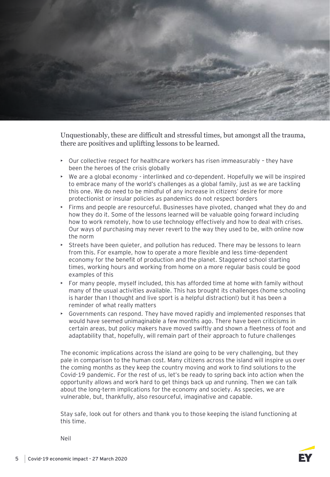

Unquestionably, these are difficult and stressful times, but amongst all the trauma, there are positives and uplifting lessons to be learned.

- Our collective respect for healthcare workers has risen immeasurably they have been the heroes of the crisis globally
- We are a global economy interlinked and co-dependent. Hopefully we will be inspired to embrace many of the world's challenges as a global family, just as we are tackling this one. We do need to be mindful of any increase in citizens' desire for more protectionist or insular policies as pandemics do not respect borders
- Firms and people are resourceful. Businesses have pivoted, changed what they do and how they do it. Some of the lessons learned will be valuable going forward including how to work remotely, how to use technology effectively and how to deal with crises. Our ways of purchasing may never revert to the way they used to be, with online now the norm
- Streets have been quieter, and pollution has reduced. There may be lessons to learn from this. For example, how to operate a more flexible and less time-dependent economy for the benefit of production and the planet. Staggered school starting times, working hours and working from home on a more regular basis could be good examples of this
- For many people, myself included, this has afforded time at home with family without many of the usual activities available. This has brought its challenges (home schooling is harder than I thought and live sport is a helpful distraction!) but it has been a reminder of what really matters
- Governments can respond. They have moved rapidly and implemented responses that would have seemed unimaginable a few months ago. There have been criticisms in certain areas, but policy makers have moved swiftly and shown a fleetness of foot and adaptability that, hopefully, will remain part of their approach to future challenges

The economic implications across the island are going to be very challenging, but they pale in comparison to the human cost. Many citizens across the island will inspire us over the coming months as they keep the country moving and work to find solutions to the Covid-19 pandemic. For the rest of us, let's be ready to spring back into action when the opportunity allows and work hard to get things back up and running. Then we can talk about the long-term implications for the economy and society. As species, we are vulnerable, but, thankfully, also resourceful, imaginative and capable.

Stay safe, look out for others and thank you to those keeping the island functioning at this time.

Neil